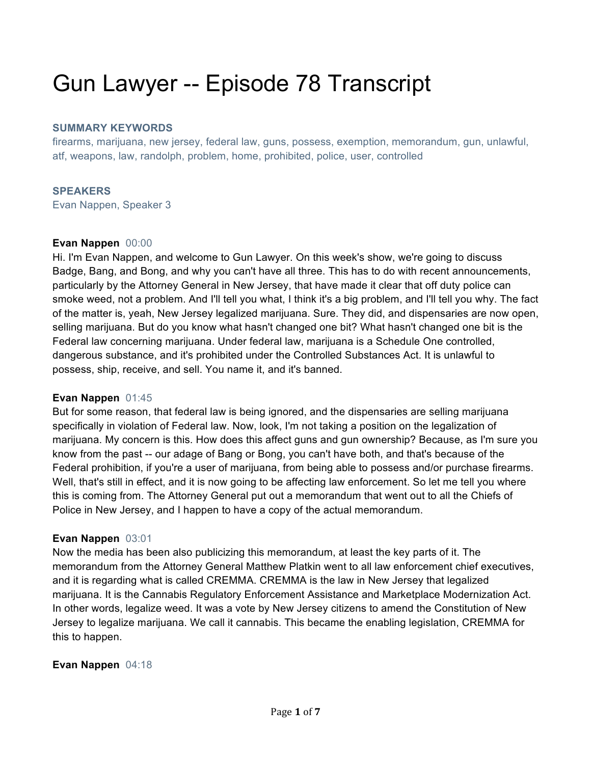# Gun Lawyer -- Episode 78 Transcript

#### **SUMMARY KEYWORDS**

firearms, marijuana, new jersey, federal law, guns, possess, exemption, memorandum, gun, unlawful, atf, weapons, law, randolph, problem, home, prohibited, police, user, controlled

#### **SPEAKERS**

Evan Nappen, Speaker 3

#### **Evan Nappen** 00:00

Hi. I'm Evan Nappen, and welcome to Gun Lawyer. On this week's show, we're going to discuss Badge, Bang, and Bong, and why you can't have all three. This has to do with recent announcements, particularly by the Attorney General in New Jersey, that have made it clear that off duty police can smoke weed, not a problem. And I'll tell you what, I think it's a big problem, and I'll tell you why. The fact of the matter is, yeah, New Jersey legalized marijuana. Sure. They did, and dispensaries are now open, selling marijuana. But do you know what hasn't changed one bit? What hasn't changed one bit is the Federal law concerning marijuana. Under federal law, marijuana is a Schedule One controlled, dangerous substance, and it's prohibited under the Controlled Substances Act. It is unlawful to possess, ship, receive, and sell. You name it, and it's banned.

#### **Evan Nappen** 01:45

But for some reason, that federal law is being ignored, and the dispensaries are selling marijuana specifically in violation of Federal law. Now, look, I'm not taking a position on the legalization of marijuana. My concern is this. How does this affect guns and gun ownership? Because, as I'm sure you know from the past -- our adage of Bang or Bong, you can't have both, and that's because of the Federal prohibition, if you're a user of marijuana, from being able to possess and/or purchase firearms. Well, that's still in effect, and it is now going to be affecting law enforcement. So let me tell you where this is coming from. The Attorney General put out a memorandum that went out to all the Chiefs of Police in New Jersey, and I happen to have a copy of the actual memorandum.

#### **Evan Nappen** 03:01

Now the media has been also publicizing this memorandum, at least the key parts of it. The memorandum from the Attorney General Matthew Platkin went to all law enforcement chief executives, and it is regarding what is called CREMMA. CREMMA is the law in New Jersey that legalized marijuana. It is the Cannabis Regulatory Enforcement Assistance and Marketplace Modernization Act. In other words, legalize weed. It was a vote by New Jersey citizens to amend the Constitution of New Jersey to legalize marijuana. We call it cannabis. This became the enabling legislation, CREMMA for this to happen.

#### **Evan Nappen** 04:18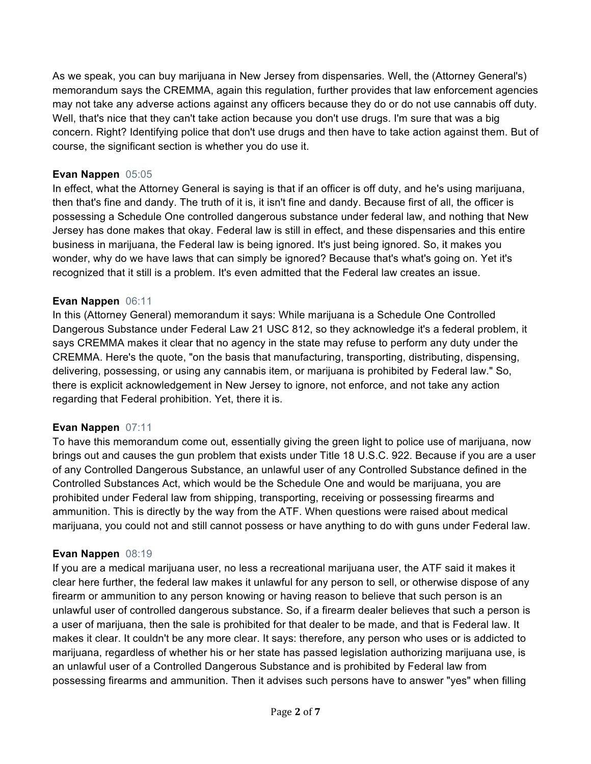As we speak, you can buy marijuana in New Jersey from dispensaries. Well, the (Attorney General's) memorandum says the CREMMA, again this regulation, further provides that law enforcement agencies may not take any adverse actions against any officers because they do or do not use cannabis off duty. Well, that's nice that they can't take action because you don't use drugs. I'm sure that was a big concern. Right? Identifying police that don't use drugs and then have to take action against them. But of course, the significant section is whether you do use it.

## **Evan Nappen** 05:05

In effect, what the Attorney General is saying is that if an officer is off duty, and he's using marijuana, then that's fine and dandy. The truth of it is, it isn't fine and dandy. Because first of all, the officer is possessing a Schedule One controlled dangerous substance under federal law, and nothing that New Jersey has done makes that okay. Federal law is still in effect, and these dispensaries and this entire business in marijuana, the Federal law is being ignored. It's just being ignored. So, it makes you wonder, why do we have laws that can simply be ignored? Because that's what's going on. Yet it's recognized that it still is a problem. It's even admitted that the Federal law creates an issue.

# **Evan Nappen** 06:11

In this (Attorney General) memorandum it says: While marijuana is a Schedule One Controlled Dangerous Substance under Federal Law 21 USC 812, so they acknowledge it's a federal problem, it says CREMMA makes it clear that no agency in the state may refuse to perform any duty under the CREMMA. Here's the quote, "on the basis that manufacturing, transporting, distributing, dispensing, delivering, possessing, or using any cannabis item, or marijuana is prohibited by Federal law." So, there is explicit acknowledgement in New Jersey to ignore, not enforce, and not take any action regarding that Federal prohibition. Yet, there it is.

## **Evan Nappen** 07:11

To have this memorandum come out, essentially giving the green light to police use of marijuana, now brings out and causes the gun problem that exists under Title 18 U.S.C. 922. Because if you are a user of any Controlled Dangerous Substance, an unlawful user of any Controlled Substance defined in the Controlled Substances Act, which would be the Schedule One and would be marijuana, you are prohibited under Federal law from shipping, transporting, receiving or possessing firearms and ammunition. This is directly by the way from the ATF. When questions were raised about medical marijuana, you could not and still cannot possess or have anything to do with guns under Federal law.

## **Evan Nappen** 08:19

If you are a medical marijuana user, no less a recreational marijuana user, the ATF said it makes it clear here further, the federal law makes it unlawful for any person to sell, or otherwise dispose of any firearm or ammunition to any person knowing or having reason to believe that such person is an unlawful user of controlled dangerous substance. So, if a firearm dealer believes that such a person is a user of marijuana, then the sale is prohibited for that dealer to be made, and that is Federal law. It makes it clear. It couldn't be any more clear. It says: therefore, any person who uses or is addicted to marijuana, regardless of whether his or her state has passed legislation authorizing marijuana use, is an unlawful user of a Controlled Dangerous Substance and is prohibited by Federal law from possessing firearms and ammunition. Then it advises such persons have to answer "yes" when filling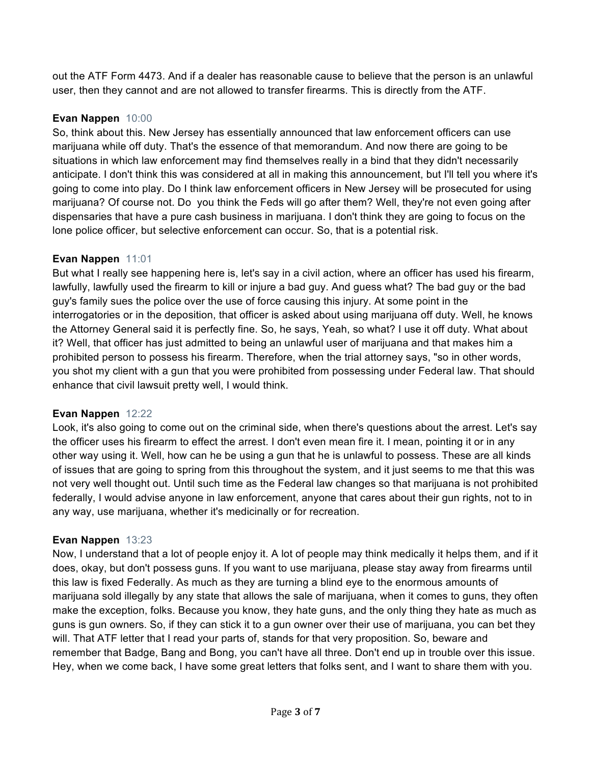out the ATF Form 4473. And if a dealer has reasonable cause to believe that the person is an unlawful user, then they cannot and are not allowed to transfer firearms. This is directly from the ATF.

# **Evan Nappen** 10:00

So, think about this. New Jersey has essentially announced that law enforcement officers can use marijuana while off duty. That's the essence of that memorandum. And now there are going to be situations in which law enforcement may find themselves really in a bind that they didn't necessarily anticipate. I don't think this was considered at all in making this announcement, but I'll tell you where it's going to come into play. Do I think law enforcement officers in New Jersey will be prosecuted for using marijuana? Of course not. Do you think the Feds will go after them? Well, they're not even going after dispensaries that have a pure cash business in marijuana. I don't think they are going to focus on the lone police officer, but selective enforcement can occur. So, that is a potential risk.

## **Evan Nappen** 11:01

But what I really see happening here is, let's say in a civil action, where an officer has used his firearm, lawfully, lawfully used the firearm to kill or injure a bad guy. And guess what? The bad guy or the bad guy's family sues the police over the use of force causing this injury. At some point in the interrogatories or in the deposition, that officer is asked about using marijuana off duty. Well, he knows the Attorney General said it is perfectly fine. So, he says, Yeah, so what? I use it off duty. What about it? Well, that officer has just admitted to being an unlawful user of marijuana and that makes him a prohibited person to possess his firearm. Therefore, when the trial attorney says, "so in other words, you shot my client with a gun that you were prohibited from possessing under Federal law. That should enhance that civil lawsuit pretty well, I would think.

## **Evan Nappen** 12:22

Look, it's also going to come out on the criminal side, when there's questions about the arrest. Let's say the officer uses his firearm to effect the arrest. I don't even mean fire it. I mean, pointing it or in any other way using it. Well, how can he be using a gun that he is unlawful to possess. These are all kinds of issues that are going to spring from this throughout the system, and it just seems to me that this was not very well thought out. Until such time as the Federal law changes so that marijuana is not prohibited federally, I would advise anyone in law enforcement, anyone that cares about their gun rights, not to in any way, use marijuana, whether it's medicinally or for recreation.

## **Evan Nappen** 13:23

Now, I understand that a lot of people enjoy it. A lot of people may think medically it helps them, and if it does, okay, but don't possess guns. If you want to use marijuana, please stay away from firearms until this law is fixed Federally. As much as they are turning a blind eye to the enormous amounts of marijuana sold illegally by any state that allows the sale of marijuana, when it comes to guns, they often make the exception, folks. Because you know, they hate guns, and the only thing they hate as much as guns is gun owners. So, if they can stick it to a gun owner over their use of marijuana, you can bet they will. That ATF letter that I read your parts of, stands for that very proposition. So, beware and remember that Badge, Bang and Bong, you can't have all three. Don't end up in trouble over this issue. Hey, when we come back, I have some great letters that folks sent, and I want to share them with you.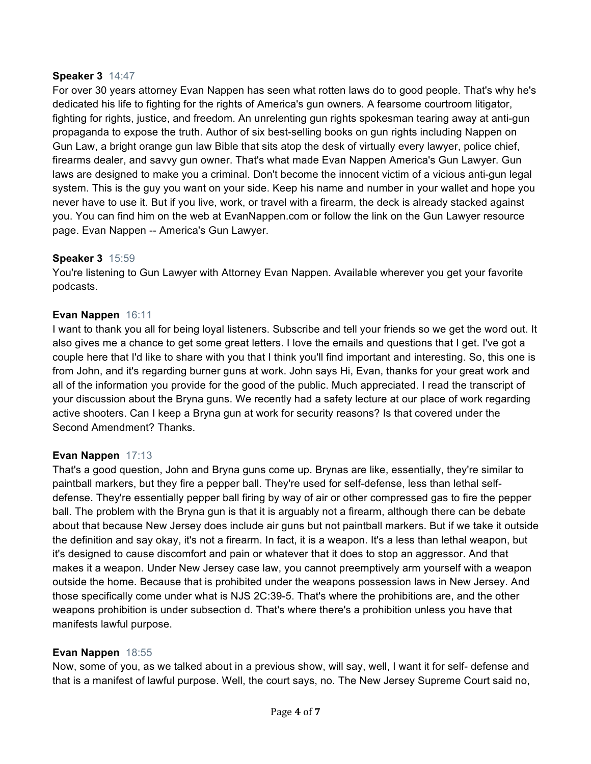#### **Speaker 3** 14:47

For over 30 years attorney Evan Nappen has seen what rotten laws do to good people. That's why he's dedicated his life to fighting for the rights of America's gun owners. A fearsome courtroom litigator, fighting for rights, justice, and freedom. An unrelenting gun rights spokesman tearing away at anti-gun propaganda to expose the truth. Author of six best-selling books on gun rights including Nappen on Gun Law, a bright orange gun law Bible that sits atop the desk of virtually every lawyer, police chief, firearms dealer, and savvy gun owner. That's what made Evan Nappen America's Gun Lawyer. Gun laws are designed to make you a criminal. Don't become the innocent victim of a vicious anti-gun legal system. This is the guy you want on your side. Keep his name and number in your wallet and hope you never have to use it. But if you live, work, or travel with a firearm, the deck is already stacked against you. You can find him on the web at EvanNappen.com or follow the link on the Gun Lawyer resource page. Evan Nappen -- America's Gun Lawyer.

#### **Speaker 3** 15:59

You're listening to Gun Lawyer with Attorney Evan Nappen. Available wherever you get your favorite podcasts.

#### **Evan Nappen** 16:11

I want to thank you all for being loyal listeners. Subscribe and tell your friends so we get the word out. It also gives me a chance to get some great letters. I love the emails and questions that I get. I've got a couple here that I'd like to share with you that I think you'll find important and interesting. So, this one is from John, and it's regarding burner guns at work. John says Hi, Evan, thanks for your great work and all of the information you provide for the good of the public. Much appreciated. I read the transcript of your discussion about the Bryna guns. We recently had a safety lecture at our place of work regarding active shooters. Can I keep a Bryna gun at work for security reasons? Is that covered under the Second Amendment? Thanks.

#### **Evan Nappen** 17:13

That's a good question, John and Bryna guns come up. Brynas are like, essentially, they're similar to paintball markers, but they fire a pepper ball. They're used for self-defense, less than lethal selfdefense. They're essentially pepper ball firing by way of air or other compressed gas to fire the pepper ball. The problem with the Bryna gun is that it is arguably not a firearm, although there can be debate about that because New Jersey does include air guns but not paintball markers. But if we take it outside the definition and say okay, it's not a firearm. In fact, it is a weapon. It's a less than lethal weapon, but it's designed to cause discomfort and pain or whatever that it does to stop an aggressor. And that makes it a weapon. Under New Jersey case law, you cannot preemptively arm yourself with a weapon outside the home. Because that is prohibited under the weapons possession laws in New Jersey. And those specifically come under what is NJS 2C:39-5. That's where the prohibitions are, and the other weapons prohibition is under subsection d. That's where there's a prohibition unless you have that manifests lawful purpose.

#### **Evan Nappen** 18:55

Now, some of you, as we talked about in a previous show, will say, well, I want it for self- defense and that is a manifest of lawful purpose. Well, the court says, no. The New Jersey Supreme Court said no,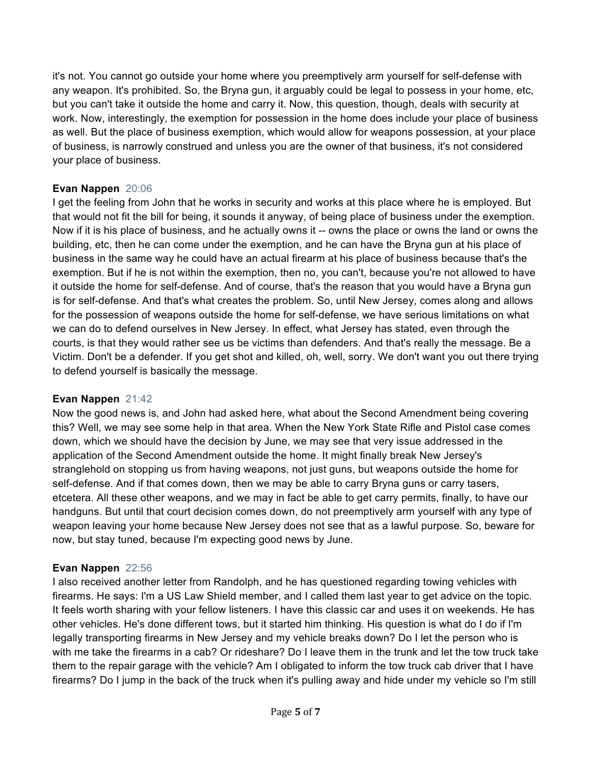it's not. You cannot go outside your home where you preemptively arm yourself for self-defense with any weapon. It's prohibited. So, the Bryna gun, it arguably could be legal to possess in your home, etc, but you can't take it outside the home and carry it. Now, this question, though, deals with security at work. Now, interestingly, the exemption for possession in the home does include your place of business as well. But the place of business exemption, which would allow for weapons possession, at your place of business, is narrowly construed and unless you are the owner of that business, it's not considered your place of business.

## **Evan Nappen** 20:06

I get the feeling from John that he works in security and works at this place where he is employed. But that would not fit the bill for being, it sounds it anyway, of being place of business under the exemption. Now if it is his place of business, and he actually owns it -- owns the place or owns the land or owns the building, etc, then he can come under the exemption, and he can have the Bryna gun at his place of business in the same way he could have an actual firearm at his place of business because that's the exemption. But if he is not within the exemption, then no, you can't, because you're not allowed to have it outside the home for self-defense. And of course, that's the reason that you would have a Bryna gun is for self-defense. And that's what creates the problem. So, until New Jersey, comes along and allows for the possession of weapons outside the home for self-defense, we have serious limitations on what we can do to defend ourselves in New Jersey. In effect, what Jersey has stated, even through the courts, is that they would rather see us be victims than defenders. And that's really the message. Be a Victim. Don't be a defender. If you get shot and killed, oh, well, sorry. We don't want you out there trying to defend yourself is basically the message.

## **Evan Nappen** 21:42

Now the good news is, and John had asked here, what about the Second Amendment being covering this? Well, we may see some help in that area. When the New York State Rifle and Pistol case comes down, which we should have the decision by June, we may see that very issue addressed in the application of the Second Amendment outside the home. It might finally break New Jersey's stranglehold on stopping us from having weapons, not just guns, but weapons outside the home for self-defense. And if that comes down, then we may be able to carry Bryna guns or carry tasers, etcetera. All these other weapons, and we may in fact be able to get carry permits, finally, to have our handguns. But until that court decision comes down, do not preemptively arm yourself with any type of weapon leaving your home because New Jersey does not see that as a lawful purpose. So, beware for now, but stay tuned, because I'm expecting good news by June.

## **Evan Nappen** 22:56

I also received another letter from Randolph, and he has questioned regarding towing vehicles with firearms. He says: I'm a US Law Shield member, and I called them last year to get advice on the topic. It feels worth sharing with your fellow listeners. I have this classic car and uses it on weekends. He has other vehicles. He's done different tows, but it started him thinking. His question is what do I do if I'm legally transporting firearms in New Jersey and my vehicle breaks down? Do I let the person who is with me take the firearms in a cab? Or rideshare? Do I leave them in the trunk and let the tow truck take them to the repair garage with the vehicle? Am I obligated to inform the tow truck cab driver that I have firearms? Do I jump in the back of the truck when it's pulling away and hide under my vehicle so I'm still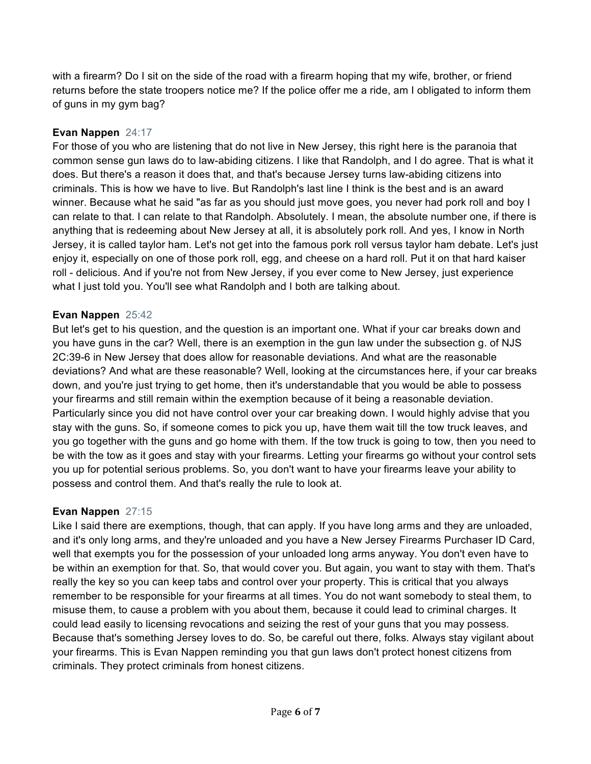with a firearm? Do I sit on the side of the road with a firearm hoping that my wife, brother, or friend returns before the state troopers notice me? If the police offer me a ride, am I obligated to inform them of guns in my gym bag?

## **Evan Nappen** 24:17

For those of you who are listening that do not live in New Jersey, this right here is the paranoia that common sense gun laws do to law-abiding citizens. I like that Randolph, and I do agree. That is what it does. But there's a reason it does that, and that's because Jersey turns law-abiding citizens into criminals. This is how we have to live. But Randolph's last line I think is the best and is an award winner. Because what he said "as far as you should just move goes, you never had pork roll and boy I can relate to that. I can relate to that Randolph. Absolutely. I mean, the absolute number one, if there is anything that is redeeming about New Jersey at all, it is absolutely pork roll. And yes, I know in North Jersey, it is called taylor ham. Let's not get into the famous pork roll versus taylor ham debate. Let's just enjoy it, especially on one of those pork roll, egg, and cheese on a hard roll. Put it on that hard kaiser roll - delicious. And if you're not from New Jersey, if you ever come to New Jersey, just experience what I just told you. You'll see what Randolph and I both are talking about.

#### **Evan Nappen** 25:42

But let's get to his question, and the question is an important one. What if your car breaks down and you have guns in the car? Well, there is an exemption in the gun law under the subsection g. of NJS 2C:39-6 in New Jersey that does allow for reasonable deviations. And what are the reasonable deviations? And what are these reasonable? Well, looking at the circumstances here, if your car breaks down, and you're just trying to get home, then it's understandable that you would be able to possess your firearms and still remain within the exemption because of it being a reasonable deviation. Particularly since you did not have control over your car breaking down. I would highly advise that you stay with the guns. So, if someone comes to pick you up, have them wait till the tow truck leaves, and you go together with the guns and go home with them. If the tow truck is going to tow, then you need to be with the tow as it goes and stay with your firearms. Letting your firearms go without your control sets you up for potential serious problems. So, you don't want to have your firearms leave your ability to possess and control them. And that's really the rule to look at.

## **Evan Nappen** 27:15

Like I said there are exemptions, though, that can apply. If you have long arms and they are unloaded, and it's only long arms, and they're unloaded and you have a New Jersey Firearms Purchaser ID Card, well that exempts you for the possession of your unloaded long arms anyway. You don't even have to be within an exemption for that. So, that would cover you. But again, you want to stay with them. That's really the key so you can keep tabs and control over your property. This is critical that you always remember to be responsible for your firearms at all times. You do not want somebody to steal them, to misuse them, to cause a problem with you about them, because it could lead to criminal charges. It could lead easily to licensing revocations and seizing the rest of your guns that you may possess. Because that's something Jersey loves to do. So, be careful out there, folks. Always stay vigilant about your firearms. This is Evan Nappen reminding you that gun laws don't protect honest citizens from criminals. They protect criminals from honest citizens.